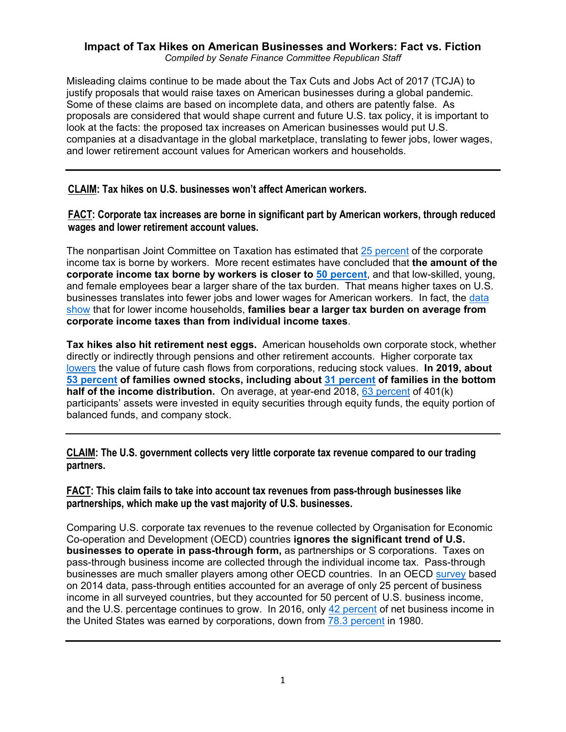## **Impact of Tax Hikes on American Businesses and Workers: Fact vs. Fiction** *Compiled by Senate Finance Committee Republican Staff*

Misleading claims continue to be made about the Tax Cuts and Jobs Act of 2017 (TCJA) to justify proposals that would raise taxes on American businesses during a global pandemic. Some of these claims are based on incomplete data, and others are patently false. As proposals are considered that would shape current and future U.S. tax policy, it is important to look at the facts: the proposed tax increases on American businesses would put U.S. companies at a disadvantage in the global marketplace, translating to fewer jobs, lower wages, and lower retirement account values for American workers and households.

**CLAIM: Tax hikes on U.S. businesses won't affect American workers.**

**FACT: Corporate tax increases are borne in significant part by American workers, through reduced wages and lower retirement account values.** 

The nonpartisan Joint Committee on Taxation has estimated that [25 percent](https://www.jct.gov/publications/2013/jcx-14-13/) of the corporate income tax is borne by workers. More recent estimates have concluded that **the amount of the corporate income tax borne by workers is closer to [50 percent](https://www.aeaweb.org/articles?id=10.1257/aer.20130570)**, and that low-skilled, young, and female employees bear a larger share of the tax burden. That means higher taxes on U.S. businesses translates into fewer jobs and lower wages for American workers. In fact, the [data](https://home.treasury.gov/system/files/131/Distribution-of-Tax-Burden-Current-Law-2017.pdf)  [show](https://home.treasury.gov/system/files/131/Distribution-of-Tax-Burden-Current-Law-2017.pdf) that for lower income households, **families bear a larger tax burden on average from corporate income taxes than from individual income taxes**.

**Tax hikes also hit retirement nest eggs.** American households own corporate stock, whether directly or indirectly through pensions and other retirement accounts. Higher corporate tax [lowers](https://www.ntanet.org/wp-content/uploads/2019/03/Session1237_Paper1665_FullPaper_1.pdf) the value of future cash flows from corporations, reducing stock values. **In 2019, about [53 percent](https://www.federalreserve.gov/publications/files/scf20.pdf) of families owned stocks, including about [31 percent](https://www.federalreserve.gov/publications/files/scf20.pdf) of families in the bottom half of the income distribution.** On average, at year-end 2018, [63 percent](https://www.ebri.org/retirement/content/401(k)-plan-asset-allocation-account-balances-and-loan-activity-in-2018) of 401(k) participants' assets were invested in equity securities through equity funds, the equity portion of balanced funds, and company stock.

**CLAIM: The U.S. government collects very little corporate tax revenue compared to our trading partners.**

**FACT: This claim fails to take into account tax revenues from pass-through businesses like partnerships, which make up the vast majority of U.S. businesses.** 

Comparing U.S. corporate tax revenues to the revenue collected by Organisation for Economic Co-operation and Development (OECD) countries **ignores the significant trend of U.S. businesses to operate in pass-through form,** as partnerships or S corporations. Taxes on pass-through business income are collected through the individual income tax. Pass-through businesses are much smaller players among other OECD countries. In an OECD [survey](https://www.oecd.org/publications/taxation-of-smes-in-oecd-and-g20-countries-9789264243507-en.htm) based on 2014 data, pass-through entities accounted for an average of only 25 percent of business income in all surveyed countries, but they accounted for 50 percent of U.S. business income, and the U.S. percentage continues to grow. In 2016, only 42 [percent](https://www.irs.gov/statistics/soi-tax-stats-integrated-business-data) of net business income in the United States was earned by corporations, down from **78.3** percent in 1980.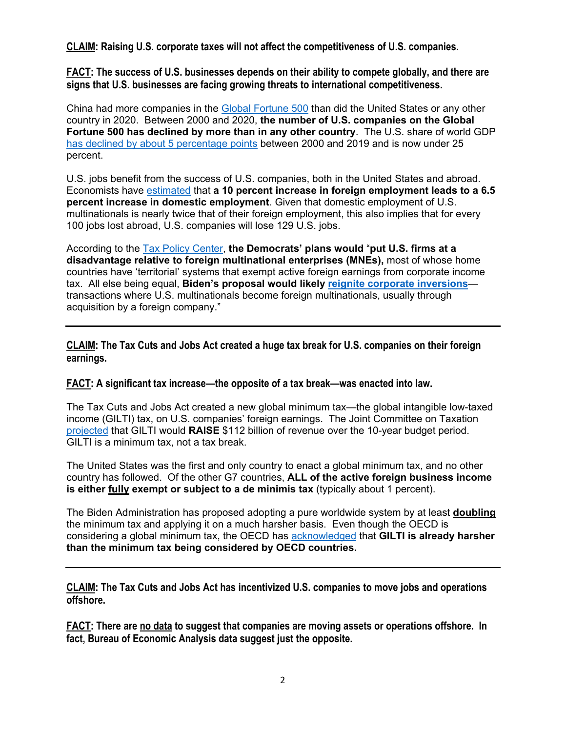**CLAIM: Raising U.S. corporate taxes will not affect the competitiveness of U.S. companies.**

**FACT: The success of U.S. businesses depends on their ability to compete globally, and there are signs that U.S. businesses are facing growing threats to international competitiveness.** 

China had more companies in the [Global Fortune 500](https://qlik.fortune.com/global500/) than did the United States or any other country in 2020. Between 2000 and 2020, **the number of U.S. companies on the Global Fortune 500 has declined by more than in any other country**. The U.S. share of world GDP [has declined by about 5 percentage points](https://databank.worldbank.org/source/world-development-indicators) between 2000 and 2019 and is now under 25 percent.

U.S. jobs benefit from the success of U.S. companies, both in the United States and abroad. Economists have [estimated](https://www.aeaweb.org/articles?id=10.1257/pol.1.1.181) that **a 10 percent increase in foreign employment leads to a 6.5 percent increase in domestic employment**. Given that domestic employment of U.S. multinationals is nearly twice that of their foreign employment, this also implies that for every 100 jobs lost abroad, U.S. companies will lose 129 U.S. jobs.

According to the [Tax Policy Center,](https://www.taxpolicycenter.org/taxvox/oecd-pillar-2-provides-good-model-biden-us-worldwide-tax) **the Democrats' plans would** "**put U.S. firms at a disadvantage relative to foreign multinational enterprises (MNEs),** most of whose home countries have 'territorial' systems that exempt active foreign earnings from corporate income tax. All else being equal, **Biden's proposal would likely [reignite corporate inversions](https://www.taxpolicycenter.org/taxvox/oecd-pillar-2-provides-good-model-biden-us-worldwide-tax)** transactions where U.S. multinationals become foreign multinationals, usually through acquisition by a foreign company."

**CLAIM: The Tax Cuts and Jobs Act created a huge tax break for U.S. companies on their foreign earnings.**

## **FACT: A significant tax increase—the opposite of a tax break—was enacted into law.**

The Tax Cuts and Jobs Act created a new global minimum tax—the global intangible low-taxed income (GILTI) tax, on U.S. companies' foreign earnings. The Joint Committee on Taxation [projected](https://www.jct.gov/publications/2017/jcx-67-17/) that GILTI would **RAISE** \$112 billion of revenue over the 10-year budget period. GILTI is a minimum tax, not a tax break.

The United States was the first and only country to enact a global minimum tax, and no other country has followed. Of the other G7 countries, **ALL of the active foreign business income is either fully exempt or subject to a de minimis tax** (typically about 1 percent).

The Biden Administration has proposed adopting a pure worldwide system by at least **doubling** the minimum tax and applying it on a much harsher basis. Even though the OECD is considering a global minimum tax, the OECD has [acknowledged](https://doi.org/10.1787/abb4c3d1-en) that **GILTI is already harsher than the minimum tax being considered by OECD countries.**

**CLAIM: The Tax Cuts and Jobs Act has incentivized U.S. companies to move jobs and operations offshore.** 

**FACT: There are no data to suggest that companies are moving assets or operations offshore. In fact, Bureau of Economic Analysis data suggest just the opposite.**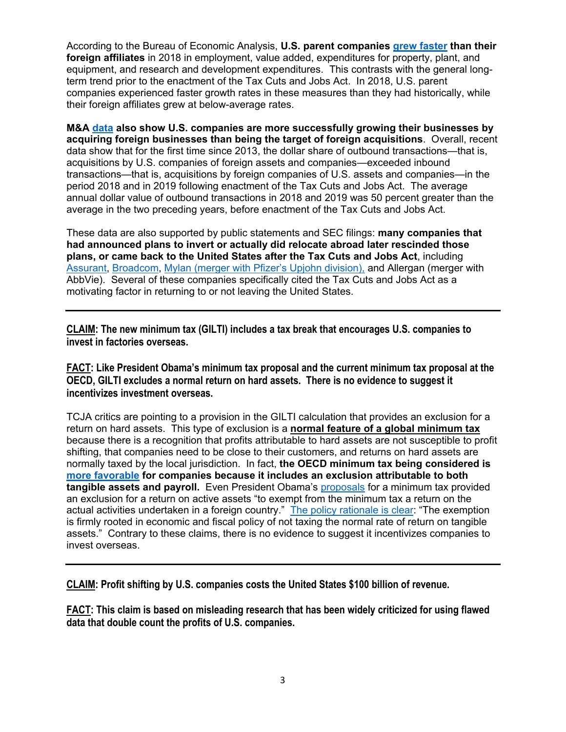According to the Bureau of Economic Analysis, **U.S. parent companies [grew faster](https://www.bea.gov/news/2020/activities-us-multinational-enterprises-2018) than their foreign affiliates** in 2018 in employment, value added, expenditures for property, plant, and equipment, and research and development expenditures. This contrasts with the general longterm trend prior to the enactment of the Tax Cuts and Jobs Act. In 2018, U.S. parent companies experienced faster growth rates in these measures than they had historically, while their foreign affiliates grew at below-average rates.

**M&A [data](https://papers.ssrn.com/sol3/papers.cfm?abstract_id=3735054) also show U.S. companies are more successfully growing their businesses by acquiring foreign businesses than being the target of foreign acquisitions**. Overall, recent data show that for the first time since 2013, the dollar share of outbound transactions—that is, acquisitions by U.S. companies of foreign assets and companies—exceeded inbound transactions—that is, acquisitions by foreign companies of U.S. assets and companies—in the period 2018 and in 2019 following enactment of the Tax Cuts and Jobs Act. The average annual dollar value of outbound transactions in 2018 and 2019 was 50 percent greater than the average in the two preceding years, before enactment of the Tax Cuts and Jobs Act.

These data are also supported by public statements and SEC filings: **many companies that had announced plans to invert or actually did relocate abroad later rescinded those plans, or came back to the United States after the Tax Cuts and Jobs Act**, including [Assurant,](https://www.assurant.com/newsroom-detail/NewsReleases/2018/January/assurant-and-the-warranty-group-amend-deal-structure) [Broadcom,](https://www.broadcom.com/company/news/financial-releases/2313937) [Mylan \(merger with Pfizer's Upjohn division\),](https://www.sec.gov/Archives/edgar/data/1792044/000119312520212083/d159300dex991.htm) and Allergan (merger with AbbVie). Several of these companies specifically cited the Tax Cuts and Jobs Act as a motivating factor in returning to or not leaving the United States.

**CLAIM: The new minimum tax (GILTI) includes a tax break that encourages U.S. companies to invest in factories overseas.** 

**FACT: Like President Obama's minimum tax proposal and the current minimum tax proposal at the OECD, GILTI excludes a normal return on hard assets. There is no evidence to suggest it incentivizes investment overseas.** 

TCJA critics are pointing to a provision in the GILTI calculation that provides an exclusion for a return on hard assets. This type of exclusion is a **normal feature of a global minimum tax** because there is a recognition that profits attributable to hard assets are not susceptible to profit shifting, that companies need to be close to their customers, and returns on hard assets are normally taxed by the local jurisdiction. In fact, **the OECD minimum tax being considered is [more favorable](https://www.oecd-ilibrary.org/sites/abb4c3d1-en/1/2/4/index.html?itemId=/content/publication/abb4c3d1-en&_csp_=e7df02b7273c00f57848cd6d74af0543&itemIGO=oecd&itemContentType=book) for companies because it includes an exclusion attributable to both tangible assets and payroll.** Even President Obama's [proposals](https://home.treasury.gov/system/files/131/General-Explanations-FY2017.pdf) for a minimum tax provided an exclusion for a return on active assets "to exempt from the minimum tax a return on the actual activities undertaken in a foreign country." [The policy rationale](https://www.taxnotes.com/tax-notes-today-international/corporate-taxation/how-pay-infrastructure-corporate-tax-changes/2021/03/29/43pmq) is clear: "The exemption is firmly rooted in economic and fiscal policy of not taxing the normal rate of return on tangible assets." Contrary to these claims, there is no evidence to suggest it incentivizes companies to invest overseas.

**CLAIM: Profit shifting by U.S. companies costs the United States \$100 billion of revenue.**

**FACT: This claim is based on misleading research that has been widely criticized for using flawed data that double count the profits of U.S. companies.**